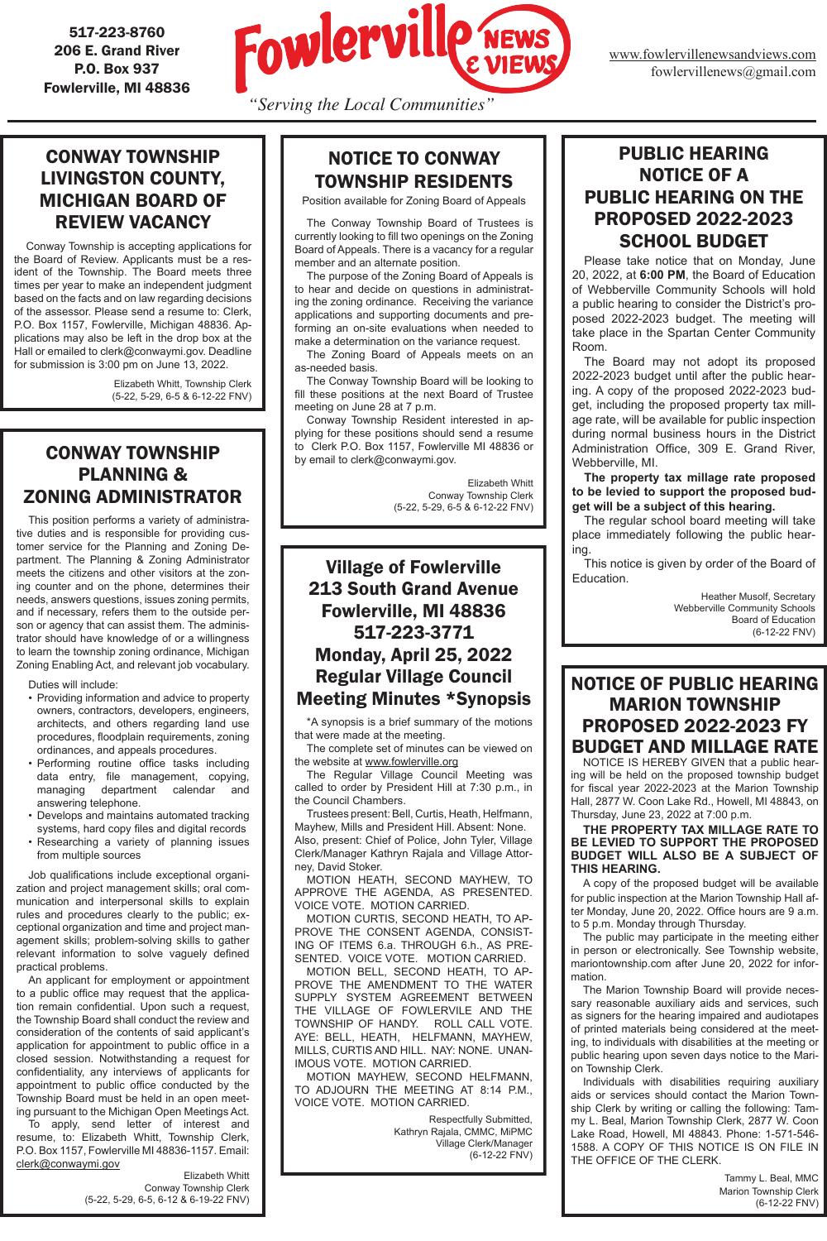

www.fowlervillenewsandviews.com fowlervillenews@gmail.com

517-223-8760 206 E. Grand River P.O. Box 937 Fowlerville, MI 48836

## CONWAY TOWNSHIP PLANNING & ZONING ADMINISTRATOR

This position performs a variety of administrative duties and is responsible for providing customer service for the Planning and Zoning Department. The Planning & Zoning Administrator meets the citizens and other visitors at the zoning counter and on the phone, determines their needs, answers questions, issues zoning permits, and if necessary, refers them to the outside person or agency that can assist them. The administrator should have knowledge of or a willingness to learn the township zoning ordinance, Michigan Zoning Enabling Act, and relevant job vocabulary.

Duties will include:

- Providing information and advice to property owners, contractors, developers, engineers, architects, and others regarding land use procedures, floodplain requirements, zoning ordinances, and appeals procedures.
- Performing routine office tasks including data entry, file management, copying, managing department calendar and answering telephone.
- Develops and maintains automated tracking systems, hard copy files and digital records
- Researching a variety of planning issues from multiple sources

 Job qualifications include exceptional organization and project management skills; oral communication and interpersonal skills to explain rules and procedures clearly to the public; exceptional organization and time and project management skills; problem-solving skills to gather relevant information to solve vaguely defined practical problems.

An applicant for employment or appointment

to a public office may request that the application remain confidential. Upon such a request, the Township Board shall conduct the review and consideration of the contents of said applicant's application for appointment to public office in a closed session. Notwithstanding a request for confidentiality, any interviews of applicants for appointment to public office conducted by the Township Board must be held in an open meeting pursuant to the Michigan Open Meetings Act. To apply, send letter of interest and resume, to: Elizabeth Whitt, Township Clerk, P.O. Box 1157, Fowlerville MI 48836-1157. Email: clerk@conwaymi.gov

Elizabeth Whitt Conway Township Clerk (5-22, 5-29, 6-5, 6-12 & 6-19-22 FNV)

### Village of Fowlerville 213 South Grand Avenue Fowlerville, MI 48836 517-223-3771 Monday, April 25, 2022 Regular Village Council Meeting Minutes \*Synopsis

\*A synopsis is a brief summary of the motions that were made at the meeting.

The complete set of minutes can be viewed on the website at www.fowlerville.org

The Regular Village Council Meeting was called to order by President Hill at 7:30 p.m., in the Council Chambers.

Trustees present: Bell, Curtis, Heath, Helfmann, Mayhew, Mills and President Hill. Absent: None. Also, present: Chief of Police, John Tyler, Village Clerk/Manager Kathryn Rajala and Village Attorney, David Stoker.

MOTION HEATH, SECOND MAYHEW, TO APPROVE THE AGENDA, AS PRESENTED. VOICE VOTE. MOTION CARRIED.

MOTION CURTIS, SECOND HEATH, TO AP-PROVE THE CONSENT AGENDA, CONSIST-ING OF ITEMS 6.a. THROUGH 6.h., AS PRE-SENTED. VOICE VOTE. MOTION CARRIED.

MOTION BELL, SECOND HEATH, TO AP-PROVE THE AMENDMENT TO THE WATER SUPPLY SYSTEM AGREEMENT BETWEEN THE VILLAGE OF FOWLERVILE AND THE TOWNSHIP OF HANDY. ROLL CALL VOTE. AYE: BELL, HEATH, HELFMANN, MAYHEW, MILLS, CURTIS AND HILL. NAY: NONE. UNAN-IMOUS VOTE. MOTION CARRIED. MOTION MAYHEW, SECOND HELFMANN, TO ADJOURN THE MEETING AT 8:14 P.M., VOICE VOTE. MOTION CARRIED.

> Respectfully Submitted, Kathryn Rajala, CMMC, MiPMC Village Clerk/Manager (6-12-22 FNV)

#### NOTICE OF PUBLIC HEARING MARION TOWNSHIP PROPOSED 2022-2023 FY BUDGET AND MILLAGE RATE

NOTICE IS HEREBY GIVEN that a public hearing will be held on the proposed township budget for fiscal year 2022-2023 at the Marion Township Hall, 2877 W. Coon Lake Rd., Howell, MI 48843, on Thursday, June 23, 2022 at 7:00 p.m.

#### **THE PROPERTY TAX MILLAGE RATE TO BE LEVIED TO SUPPORT THE PROPOSED BUDGET WILL ALSO BE A SUBJECT OF THIS HEARING.**

A copy of the proposed budget will be available for public inspection at the Marion Township Hall after Monday, June 20, 2022. Office hours are 9 a.m. to 5 p.m. Monday through Thursday.

The public may participate in the meeting either in person or electronically. See Township website, mariontownship.com after June 20, 2022 for information. The Marion Township Board will provide necessary reasonable auxiliary aids and services, such as signers for the hearing impaired and audiotapes of printed materials being considered at the meeting, to individuals with disabilities at the meeting or public hearing upon seven days notice to the Marion Township Clerk. Individuals with disabilities requiring auxiliary aids or services should contact the Marion Township Clerk by writing or calling the following: Tammy L. Beal, Marion Township Clerk, 2877 W. Coon Lake Road, Howell, MI 48843. Phone: 1-571-546- 1588. A COPY OF THIS NOTICE IS ON FILE IN THE OFFICE OF THE CLERK.

> Tammy L. Beal, MMC Marion Township Clerk (6-12-22 FNV)

### CONWAY TOWNSHIP LIVINGSTON COUNTY, MICHIGAN BOARD OF REVIEW VACANCY

Conway Township is accepting applications for the Board of Review. Applicants must be a resident of the Township. The Board meets three times per year to make an independent judgment based on the facts and on law regarding decisions of the assessor. Please send a resume to: Clerk, P.O. Box 1157, Fowlerville, Michigan 48836. Applications may also be left in the drop box at the Hall or emailed to clerk@conwaymi.gov. Deadline for submission is 3:00 pm on June 13, 2022.

> Elizabeth Whitt, Township Clerk (5-22, 5-29, 6-5 & 6-12-22 FNV)

# NOTICE TO CONWAY TOWNSHIP RESIDENTS

Position available for Zoning Board of Appeals

The Conway Township Board of Trustees is currently looking to fill two openings on the Zoning Board of Appeals. There is a vacancy for a regular member and an alternate position.

The purpose of the Zoning Board of Appeals is to hear and decide on questions in administrating the zoning ordinance. Receiving the variance applications and supporting documents and preforming an on-site evaluations when needed to make a determination on the variance request.

The Zoning Board of Appeals meets on an as-needed basis.

The Conway Township Board will be looking to fill these positions at the next Board of Trustee meeting on June 28 at 7 p.m.

Conway Township Resident interested in applying for these positions should send a resume to Clerk P.O. Box 1157, Fowlerville MI 48836 or by email to clerk@conwaymi.gov.

> Elizabeth Whitt Conway Township Clerk (5-22, 5-29, 6-5 & 6-12-22 FNV)

#### PUBLIC HEARING NOTICE OF A PUBLIC HEARING ON THE PROPOSED 2022-2023 SCHOOL BUDGET

Please take notice that on Monday, June 20, 2022, at **6:00 PM**, the Board of Education of Webberville Community Schools will hold a public hearing to consider the District's proposed 2022-2023 budget. The meeting will take place in the Spartan Center Community Room.

The Board may not adopt its proposed 2022-2023 budget until after the public hearing. A copy of the proposed 2022-2023 budget, including the proposed property tax millage rate, will be available for public inspection during normal business hours in the District Administration Office, 309 E. Grand River, Webberville, MI.

**The property tax millage rate proposed to be levied to support the proposed budget will be a subject of this hearing.** 

The regular school board meeting will take place immediately following the public hearing.

This notice is given by order of the Board of Education.

> Heather Musolf, Secretary Webberville Community Schools Board of Education (6-12-22 FNV)